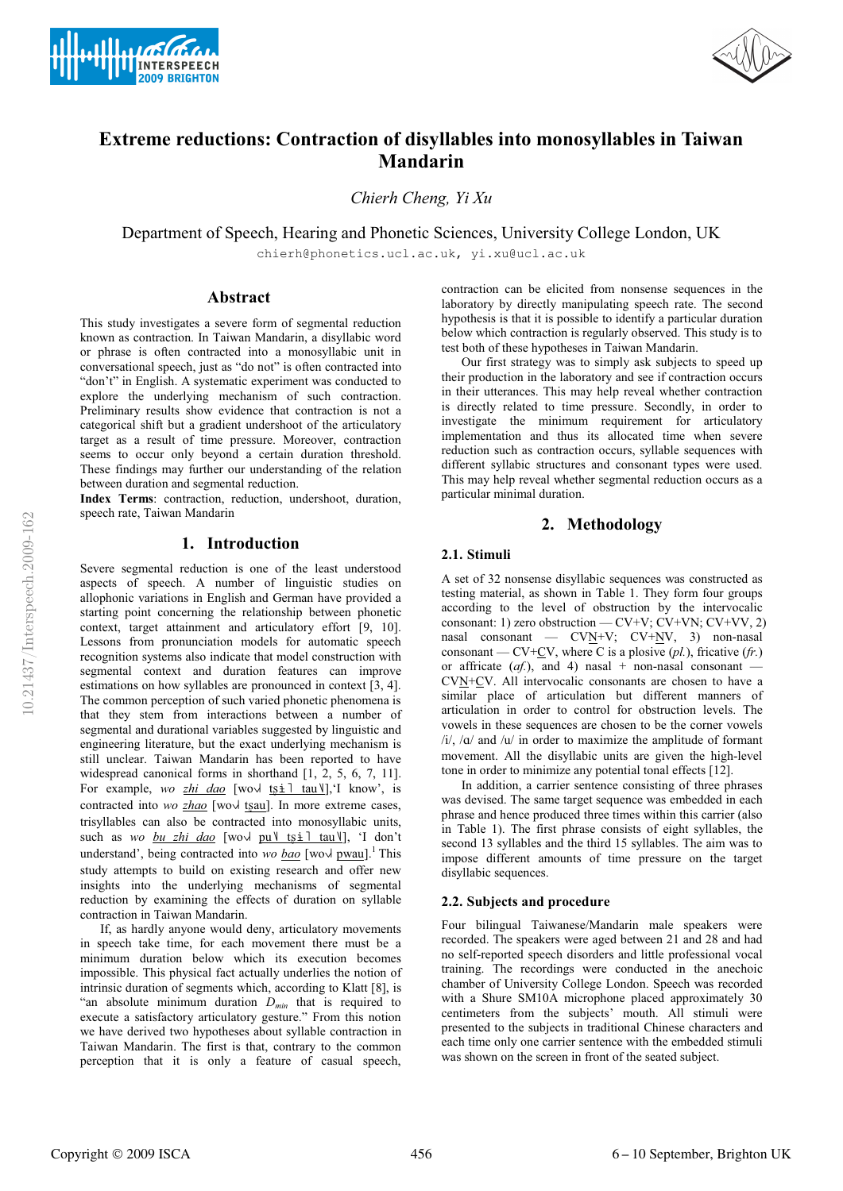



# **Extreme reductions: Contraction of disyllables into monosyllables in Taiwan Mandarin**

*Chierh Cheng, Yi Xu*

Department of Speech, Hearing and Phonetic Sciences, University College London, UK

chierh@phonetics.ucl.ac.uk, yi.xu@ucl.ac.uk

## **Abstract**

This study investigates a severe form of segmental reduction known as contraction. In Taiwan Mandarin, a disyllabic word or phrase is often contracted into a monosyllabic unit in conversational speech, just as "do not" is often contracted into "don't" in English. A systematic experiment was conducted to explore the underlying mechanism of such contraction. Preliminary results show evidence that contraction is not a categorical shift but a gradient undershoot of the articulatory target as a result of time pressure. Moreover, contraction seems to occur only beyond a certain duration threshold. These findings may further our understanding of the relation between duration and segmental reduction.

**Index Terms**: contraction, reduction, undershoot, duration, speech rate, Taiwan Mandarin

# **1. Introduction**

Severe segmental reduction is one of the least understood aspects of speech. A number of linguistic studies on allophonic variations in English and German have provided a starting point concerning the relationship between phonetic context, target attainment and articulatory effort [9, 10]. Lessons from pronunciation models for automatic speech recognition systems also indicate that model construction with segmental context and duration features can improve estimations on how syllables are pronounced in context [3, 4]. The common perception of such varied phonetic phenomena is that they stem from interactions between a number of segmental and durational variables suggested by linguistic and engineering literature, but the exact underlying mechanism is still unclear. Taiwan Mandarin has been reported to have widespread canonical forms in shorthand [1, 2, 5, 6, 7, 11]. For example, *wo zhi dao* [wo $\sqrt{\frac{t}{t} + \frac{1}{t} \tan y}$ ], I know', is contracted into *wo zhao* [wo $\sqrt{\frac{150u}{15}}$ ]. In more extreme cases, trisyllables can also be contracted into monosyllabic units, such as *wo bu zhi dao* [wo | pu | tsi | tau | ], 'I don't understand', being contracted into *wo bao* [wov pwau].<sup>1</sup> This study attempts to build on existing research and offer new insights into the underlying mechanisms of segmental reduction by examining the effects of duration on syllable contraction in Taiwan Mandarin.

If, as hardly anyone would deny, articulatory movements in speech take time, for each movement there must be a minimum duration below which its execution becomes impossible. This physical fact actually underlies the notion of intrinsic duration of segments which, according to Klatt [8], is "an absolute minimum duration *Dmin* that is required to execute a satisfactory articulatory gesture." From this notion we have derived two hypotheses about syllable contraction in Taiwan Mandarin. The first is that, contrary to the common perception that it is only a feature of casual speech, contraction can be elicited from nonsense sequences in the laboratory by directly manipulating speech rate. The second hypothesis is that it is possible to identify a particular duration below which contraction is regularly observed. This study is to test both of these hypotheses in Taiwan Mandarin.

Our first strategy was to simply ask subjects to speed up their production in the laboratory and see if contraction occurs in their utterances. This may help reveal whether contraction is directly related to time pressure. Secondly, in order to investigate the minimum requirement for articulatory implementation and thus its allocated time when severe reduction such as contraction occurs, syllable sequences with different syllabic structures and consonant types were used. This may help reveal whether segmental reduction occurs as a particular minimal duration.

# **2. Methodology**

## **2.1. Stimuli**

A set of 32 nonsense disyllabic sequences was constructed as testing material, as shown in Table 1. They form four groups according to the level of obstruction by the intervocalic consonant: 1) zero obstruction — CV+V; CV+VN; CV+VV, 2) nasal consonant —  $CVN+V$ ;  $CV+N$ , 3) non-nasal consonant — CV+ $\underline{\text{CV}}$ , where C is a plosive  $(pl.)$ , fricative  $(fr.)$ or affricate  $(af)$ , and 4) nasal + non-nasal consonant CVN+CV. All intervocalic consonants are chosen to have a similar place of articulation but different manners of articulation in order to control for obstruction levels. The vowels in these sequences are chosen to be the corner vowels  $/i$ ,  $/\alpha$  and  $/\alpha$  in order to maximize the amplitude of formant movement. All the disyllabic units are given the high-level tone in order to minimize any potential tonal effects [12].

In addition, a carrier sentence consisting of three phrases was devised. The same target sequence was embedded in each phrase and hence produced three times within this carrier (also in Table 1). The first phrase consists of eight syllables, the second 13 syllables and the third 15 syllables. The aim was to impose different amounts of time pressure on the target disyllabic sequences.

#### **2.2. Subjects and procedure**

Four bilingual Taiwanese/Mandarin male speakers were recorded. The speakers were aged between 21 and 28 and had no self-reported speech disorders and little professional vocal training. The recordings were conducted in the anechoic chamber of University College London. Speech was recorded with a Shure SM10A microphone placed approximately 30 centimeters from the subjects' mouth. All stimuli were presented to the subjects in traditional Chinese characters and each time only one carrier sentence with the embedded stimuli was shown on the screen in front of the seated subject.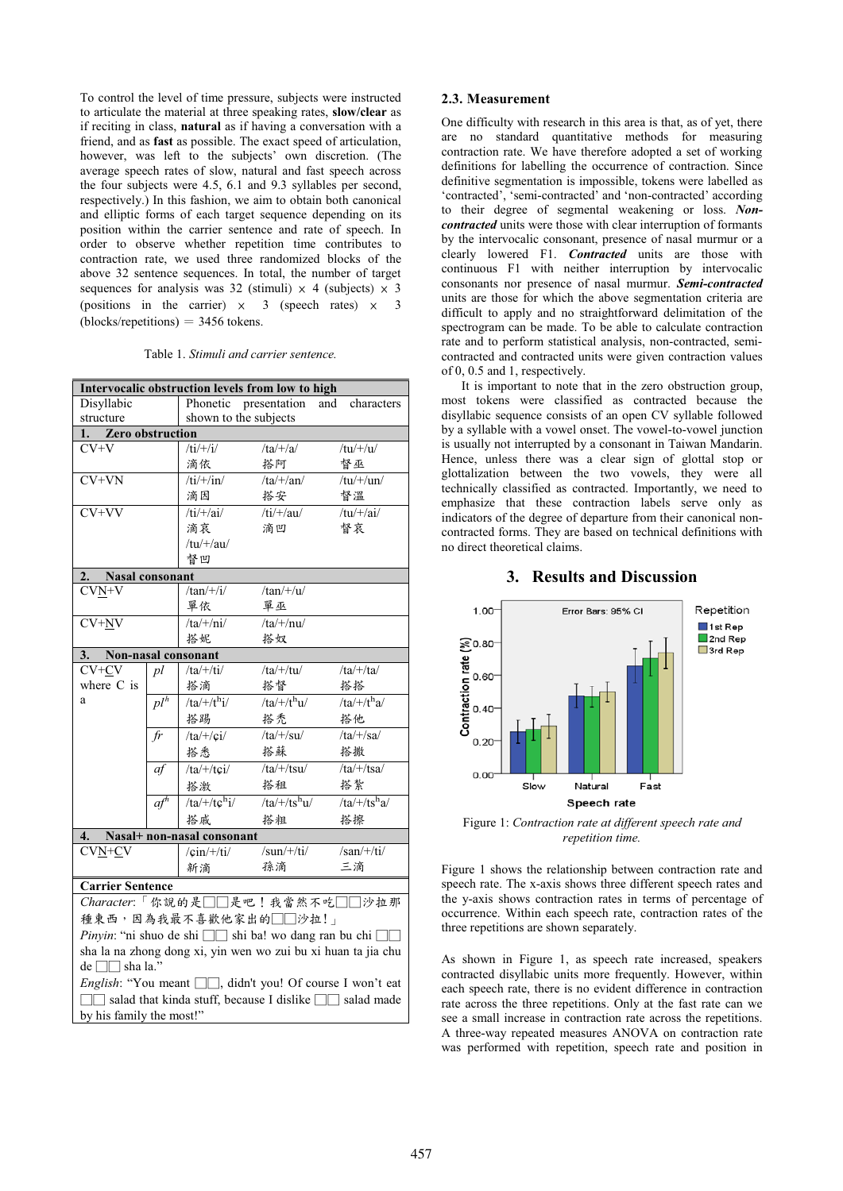To control the level of time pressure, subjects were instructed to articulate the material at three speaking rates, **slow/clear** as if reciting in class, **natural** as if having a conversation with a friend, and as **fast** as possible. The exact speed of articulation, however, was left to the subjects' own discretion. (The average speech rates of slow, natural and fast speech across the four subjects were 4.5, 6.1 and 9.3 syllables per second, respectively.) In this fashion, we aim to obtain both canonical and elliptic forms of each target sequence depending on its position within the carrier sentence and rate of speech. In order to observe whether repetition time contributes to contraction rate, we used three randomized blocks of the above 32 sentence sequences. In total, the number of target sequences for analysis was 32 (stimuli)  $\times$  4 (subjects)  $\times$  3 (positions in the carrier)  $\times$  3 (speech rates)  $\times$  3  $(blocks/repetitions) = 3456 tokens.$ 

Table 1. *Stimuli and carrier sentence.*

| Intervocalic obstruction levels from low to high               |                     |                        |                          |                   |  |  |  |  |
|----------------------------------------------------------------|---------------------|------------------------|--------------------------|-------------------|--|--|--|--|
| Disyllabic                                                     |                     | Phonetic presentation  |                          | and<br>characters |  |  |  |  |
| structure                                                      |                     | shown to the subjects  |                          |                   |  |  |  |  |
| Zero obstruction<br>1.                                         |                     |                        |                          |                   |  |  |  |  |
| $CV+V$                                                         |                     | $/ti/+/i/$             | $/ta/+/a/$               | $/tu/+/u/$        |  |  |  |  |
|                                                                |                     | 滴依                     | 搭阿                       | 督巫                |  |  |  |  |
| $CV+VN$                                                        |                     | $/ti/+/in/$            | $/ta/+/an/$              | $/tu/+/un/$       |  |  |  |  |
|                                                                |                     | 滴因                     | 搭安                       | 督溫                |  |  |  |  |
| $CV+VV$                                                        |                     | $/ti$ /+/ai/           | $/ti/+/au/$              | $/tu/+/ai/$       |  |  |  |  |
|                                                                |                     | 滴哀                     | 滴凹                       | 督哀                |  |  |  |  |
|                                                                |                     | $/tu/+/au/$            |                          |                   |  |  |  |  |
|                                                                |                     | 督凹                     |                          |                   |  |  |  |  |
| Nasal consonant<br>2.                                          |                     |                        |                          |                   |  |  |  |  |
| $CVN+V$                                                        |                     | $/tan\n  +/i/$         | $/tan/+/u/$              |                   |  |  |  |  |
|                                                                |                     | 單依                     | 單巫                       |                   |  |  |  |  |
| $\overline{\text{CV+NV}}$                                      |                     | $/ta/+/ni/$            | $/ta/+/nu/$              |                   |  |  |  |  |
|                                                                |                     |                        | 搭奴                       |                   |  |  |  |  |
| Non-nasal consonant<br>3.                                      |                     |                        |                          |                   |  |  |  |  |
| $CV+CV$                                                        | pl                  | $/ta/+/ti/$            | $/ta/+/tu/$              | $/ta/+/ta/$       |  |  |  |  |
| where C is                                                     |                     | 搭滴                     | 搭督                       | 搭搭                |  |  |  |  |
| a                                                              | $pl^{\overline{h}}$ | $/ta/+/t^h i/$         | /ta/+/t <sup>h</sup> u/  | $/ta/+/tha/$      |  |  |  |  |
|                                                                |                     | 搭踢                     | 搭禿                       | 搭他                |  |  |  |  |
|                                                                | fr                  | $/ta/+/ci/$            | $/ta/+/su/$              | $/ta/+/sa/$       |  |  |  |  |
|                                                                |                     | 搭悉                     | 搭蘇                       | 搭撒                |  |  |  |  |
|                                                                | af                  | $/ta/+/tci/$           | $/ta/+/tsu/$             | $/ta/+/tsa/$      |  |  |  |  |
|                                                                |                     | 搭激                     | 搭租                       | 搭紮                |  |  |  |  |
|                                                                | $a f^h$             | /ta/+/t $c^{\rm h}$ i/ | /ta/+/ts <sup>h</sup> u/ | $/ta/+/tsha/$     |  |  |  |  |
|                                                                |                     | 搭戚                     | 搭粗                       | 搭擦                |  |  |  |  |
| Nasal+ non-nasal consonant<br>4.                               |                     |                        |                          |                   |  |  |  |  |
| $CVN+CV$                                                       |                     | $\sin/+/ti/$           | $/sun/+/ti/$             | $/san/+/ti/$      |  |  |  |  |
|                                                                |                     | 新滴                     | 孫滴                       | 三滴                |  |  |  |  |
| <b>Carrier Sentence</b>                                        |                     |                        |                          |                   |  |  |  |  |
| $Character: \lceil$ 你說的是 $\Box \Box$ 是吧!我當然不吃 $\Box \Box$ 沙拉那  |                     |                        |                          |                   |  |  |  |  |
| 種東西,因為我最不喜歡他家出的□□沙拉!」                                          |                     |                        |                          |                   |  |  |  |  |
| Pinyin: "ni shuo de shi □□ shi ba! wo dang ran bu chi □        |                     |                        |                          |                   |  |  |  |  |
| sha la na zhong dong xi, yin wen wo zui bu xi huan ta jia chu  |                     |                        |                          |                   |  |  |  |  |
| $de \Box \Box$ sha la."                                        |                     |                        |                          |                   |  |  |  |  |
| English: "You meant $\Box$ , didn't you! Of course I won't eat |                     |                        |                          |                   |  |  |  |  |
| □□ salad that kinda stuff, because I dislike □□ salad made     |                     |                        |                          |                   |  |  |  |  |
| by his family the most!"                                       |                     |                        |                          |                   |  |  |  |  |

#### **2.3. Measurement**

One difficulty with research in this area is that, as of yet, there are no standard quantitative methods for measuring contraction rate. We have therefore adopted a set of working definitions for labelling the occurrence of contraction. Since definitive segmentation is impossible, tokens were labelled as 'contracted', 'semi-contracted' and 'non-contracted' according to their degree of segmental weakening or loss. *Noncontracted* units were those with clear interruption of formants by the intervocalic consonant, presence of nasal murmur or a clearly lowered F1. *Contracted* units are those with continuous F1 with neither interruption by intervocalic consonants nor presence of nasal murmur. *Semi-contracted* units are those for which the above segmentation criteria are difficult to apply and no straightforward delimitation of the spectrogram can be made. To be able to calculate contraction rate and to perform statistical analysis, non-contracted, semicontracted and contracted units were given contraction values of 0, 0.5 and 1, respectively.

It is important to note that in the zero obstruction group, most tokens were classified as contracted because the disyllabic sequence consists of an open CV syllable followed by a syllable with a vowel onset. The vowel-to-vowel junction is usually not interrupted by a consonant in Taiwan Mandarin. Hence, unless there was a clear sign of glottal stop or glottalization between the two vowels, they were all technically classified as contracted. Importantly, we need to emphasize that these contraction labels serve only as indicators of the degree of departure from their canonical noncontracted forms. They are based on technical definitions with no direct theoretical claims.

## **3. Results and Discussion**



Figure 1: *Contraction rate at different speech rate and repetition time.*

Figure 1 shows the relationship between contraction rate and speech rate. The x-axis shows three different speech rates and the y-axis shows contraction rates in terms of percentage of occurrence. Within each speech rate, contraction rates of the three repetitions are shown separately.

As shown in Figure 1, as speech rate increased, speakers contracted disyllabic units more frequently. However, within each speech rate, there is no evident difference in contraction rate across the three repetitions. Only at the fast rate can we see a small increase in contraction rate across the repetitions. A three-way repeated measures ANOVA on contraction rate was performed with repetition, speech rate and position in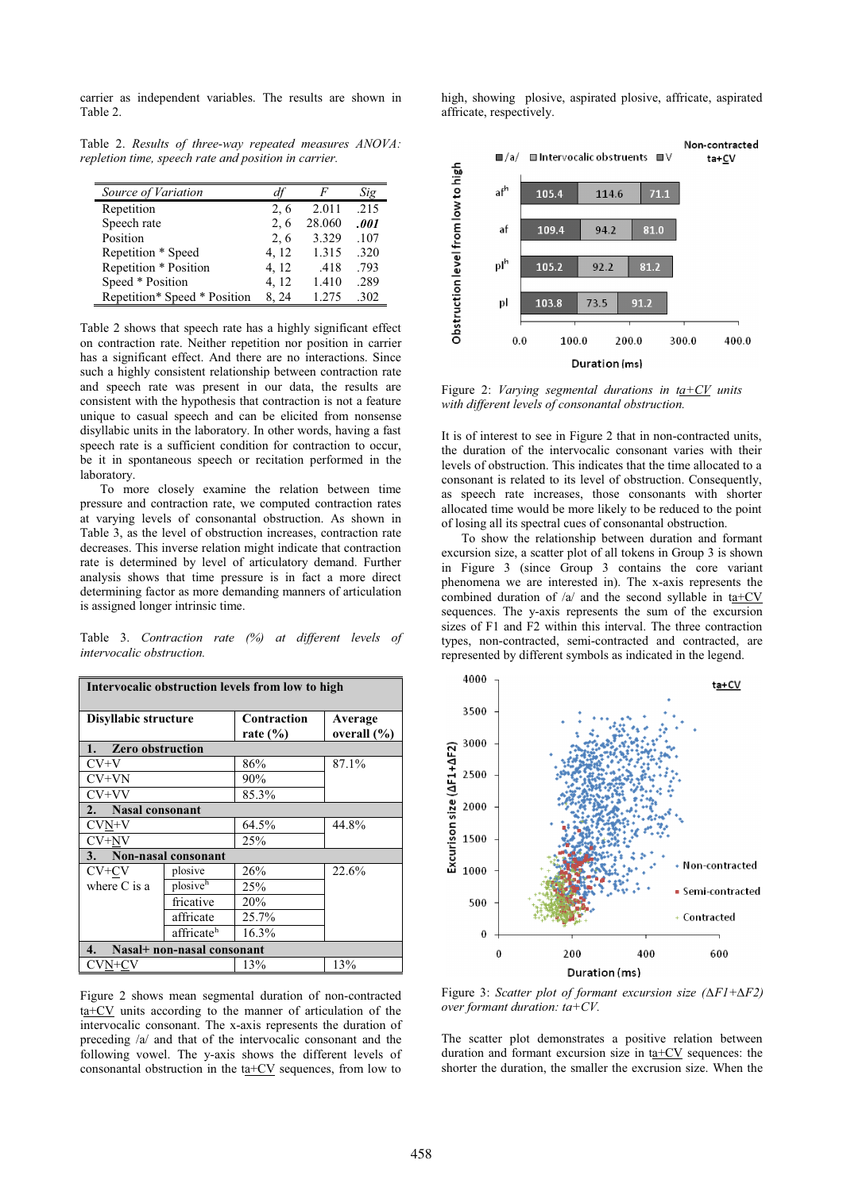carrier as independent variables. The results are shown in Table 2.

Table 2. *Results of three-way repeated measures ANOVA: repletion time, speech rate and position in carrier.* 

| Source of Variation          |       |        | Sig  |
|------------------------------|-------|--------|------|
| Repetition                   | 2,6   | 2.011  | .215 |
| Speech rate                  | 2, 6  | 28.060 | .001 |
| Position                     | 2, 6  | 3.329  | .107 |
| Repetition * Speed           | 4, 12 | 1.315  | .320 |
| Repetition * Position        | 4, 12 | .418   | .793 |
| Speed * Position             | 4, 12 | 1.410  | .289 |
| Repetition* Speed * Position | 8.24  | 1.275  | -302 |

Table 2 shows that speech rate has a highly significant effect on contraction rate. Neither repetition nor position in carrier has a significant effect. And there are no interactions. Since such a highly consistent relationship between contraction rate and speech rate was present in our data, the results are consistent with the hypothesis that contraction is not a feature unique to casual speech and can be elicited from nonsense disyllabic units in the laboratory. In other words, having a fast speech rate is a sufficient condition for contraction to occur, be it in spontaneous speech or recitation performed in the laboratory.

To more closely examine the relation between time pressure and contraction rate, we computed contraction rates at varying levels of consonantal obstruction. As shown in Table 3, as the level of obstruction increases, contraction rate decreases. This inverse relation might indicate that contraction rate is determined by level of articulatory demand. Further analysis shows that time pressure is in fact a more direct determining factor as more demanding manners of articulation is assigned longer intrinsic time.

Table 3. *Contraction rate (%) at different levels of intervocalic obstruction.*

| Intervocalic obstruction levels from low to high |                        |                             |                            |  |  |  |  |
|--------------------------------------------------|------------------------|-----------------------------|----------------------------|--|--|--|--|
| Disyllabic structure                             |                        | Contraction<br>rate $(\% )$ | Average<br>overall $(\% )$ |  |  |  |  |
| 1.<br><b>Zero obstruction</b>                    |                        |                             |                            |  |  |  |  |
| CV+V                                             |                        | 86%                         | 87.1%                      |  |  |  |  |
| $CV+VN$                                          |                        | 90%                         |                            |  |  |  |  |
| $CV+VV$                                          |                        | 85.3%                       |                            |  |  |  |  |
| 2. Nasal consonant                               |                        |                             |                            |  |  |  |  |
| $CVM+V$                                          |                        | 64.5%                       | 44.8%                      |  |  |  |  |
| $CV+NV$                                          |                        | 25%                         |                            |  |  |  |  |
| 3.<br>Non-nasal consonant                        |                        |                             |                            |  |  |  |  |
| $CV+CV$                                          | plosive                | 26%                         | 22.6%                      |  |  |  |  |
| where $C$ is a                                   | plosiveh               | 25%                         |                            |  |  |  |  |
|                                                  | fricative              | 20%                         |                            |  |  |  |  |
|                                                  | affricate              | 25.7%                       |                            |  |  |  |  |
|                                                  | affricate <sup>h</sup> | 16.3%                       |                            |  |  |  |  |
| Nasal+ non-nasal consonant<br>4.                 |                        |                             |                            |  |  |  |  |
| CVN+CV                                           |                        | 13%                         | 13%                        |  |  |  |  |

Figure 2 shows mean segmental duration of non-contracted ta+CV units according to the manner of articulation of the intervocalic consonant. The x-axis represents the duration of preceding /a/ and that of the intervocalic consonant and the following vowel. The y-axis shows the different levels of consonantal obstruction in the  $t a + CV$  sequences, from low to high, showing plosive, aspirated plosive, affricate, aspirated affricate, respectively.



Figure 2: *Varying segmental durations in*  $ta+CV$  *units with different levels of consonantal obstruction.*

It is of interest to see in Figure 2 that in non-contracted units, the duration of the intervocalic consonant varies with their levels of obstruction. This indicates that the time allocated to a consonant is related to its level of obstruction. Consequently, as speech rate increases, those consonants with shorter allocated time would be more likely to be reduced to the point of losing all its spectral cues of consonantal obstruction.

To show the relationship between duration and formant excursion size, a scatter plot of all tokens in Group 3 is shown in Figure 3 (since Group 3 contains the core variant phenomena we are interested in). The x-axis represents the combined duration of  $\sqrt{a}$  and the second syllable in ta+CV sequences. The y-axis represents the sum of the excursion sizes of F1 and F2 within this interval. The three contraction types, non-contracted, semi-contracted and contracted, are represented by different symbols as indicated in the legend.



Figure 3: *Scatter plot of formant excursion size* ( $\Delta F1 + \Delta F2$ ) *over formant duration: ta+CV.*

The scatter plot demonstrates a positive relation between duration and formant excursion size in  $t = \pm CV$  sequences: the shorter the duration, the smaller the excrusion size. When the